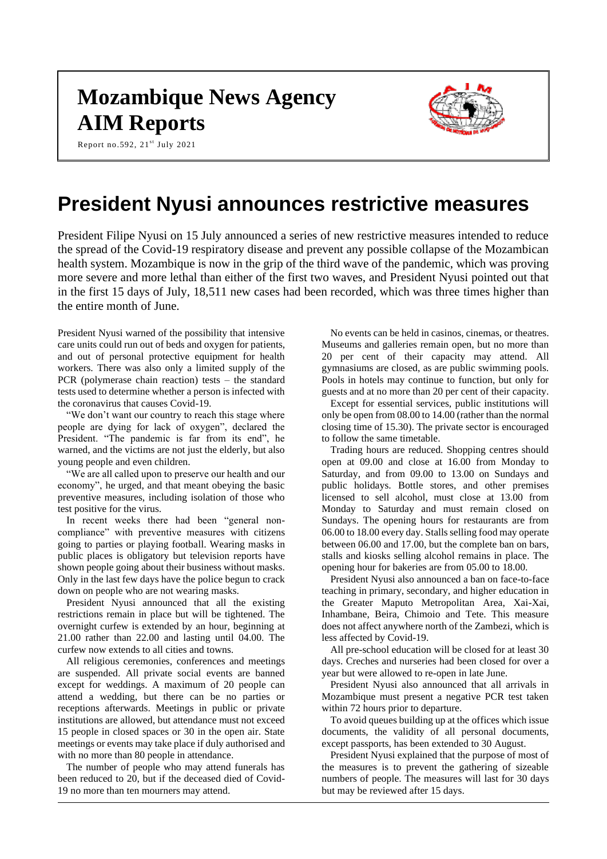# **Mozambique News Agency AIM Reports**





# **President Nyusi announces restrictive measures**

President Filipe Nyusi on 15 July announced a series of new restrictive measures intended to reduce the spread of the Covid-19 respiratory disease and prevent any possible collapse of the Mozambican health system. Mozambique is now in the grip of the third wave of the pandemic, which was proving more severe and more lethal than either of the first two waves, and President Nyusi pointed out that in the first 15 days of July, 18,511 new cases had been recorded, which was three times higher than the entire month of June.

President Nyusi warned of the possibility that intensive care units could run out of beds and oxygen for patients, and out of personal protective equipment for health workers. There was also only a limited supply of the PCR (polymerase chain reaction) tests – the standard tests used to determine whether a person is infected with the coronavirus that causes Covid-19.

"We don't want our country to reach this stage where people are dying for lack of oxygen", declared the President. "The pandemic is far from its end", he warned, and the victims are not just the elderly, but also young people and even children.

"We are all called upon to preserve our health and our economy", he urged, and that meant obeying the basic preventive measures, including isolation of those who test positive for the virus.

In recent weeks there had been "general noncompliance" with preventive measures with citizens going to parties or playing football. Wearing masks in public places is obligatory but television reports have shown people going about their business without masks. Only in the last few days have the police begun to crack down on people who are not wearing masks.

President Nyusi announced that all the existing restrictions remain in place but will be tightened. The overnight curfew is extended by an hour, beginning at 21.00 rather than 22.00 and lasting until 04.00. The curfew now extends to all cities and towns.

All religious ceremonies, conferences and meetings are suspended. All private social events are banned except for weddings. A maximum of 20 people can attend a wedding, but there can be no parties or receptions afterwards. Meetings in public or private institutions are allowed, but attendance must not exceed 15 people in closed spaces or 30 in the open air. State meetings or events may take place if duly authorised and with no more than 80 people in attendance.

The number of people who may attend funerals has been reduced to 20, but if the deceased died of Covid-19 no more than ten mourners may attend.

No events can be held in casinos, cinemas, or theatres. Museums and galleries remain open, but no more than 20 per cent of their capacity may attend. All gymnasiums are closed, as are public swimming pools. Pools in hotels may continue to function, but only for guests and at no more than 20 per cent of their capacity.

Except for essential services, public institutions will only be open from 08.00 to 14.00 (rather than the normal closing time of 15.30). The private sector is encouraged to follow the same timetable.

Trading hours are reduced. Shopping centres should open at 09.00 and close at 16.00 from Monday to Saturday, and from 09.00 to 13.00 on Sundays and public holidays. Bottle stores, and other premises licensed to sell alcohol, must close at 13.00 from Monday to Saturday and must remain closed on Sundays. The opening hours for restaurants are from 06.00 to 18.00 every day. Stalls selling food may operate between 06.00 and 17.00, but the complete ban on bars, stalls and kiosks selling alcohol remains in place. The opening hour for bakeries are from 05.00 to 18.00.

President Nyusi also announced a ban on face-to-face teaching in primary, secondary, and higher education in the Greater Maputo Metropolitan Area, Xai-Xai, Inhambane, Beira, Chimoio and Tete. This measure does not affect anywhere north of the Zambezi, which is less affected by Covid-19.

All pre-school education will be closed for at least 30 days. Creches and nurseries had been closed for over a year but were allowed to re-open in late June.

President Nyusi also announced that all arrivals in Mozambique must present a negative PCR test taken within 72 hours prior to departure.

To avoid queues building up at the offices which issue documents, the validity of all personal documents, except passports, has been extended to 30 August.

President Nyusi explained that the purpose of most of the measures is to prevent the gathering of sizeable numbers of people. The measures will last for 30 days but may be reviewed after 15 days.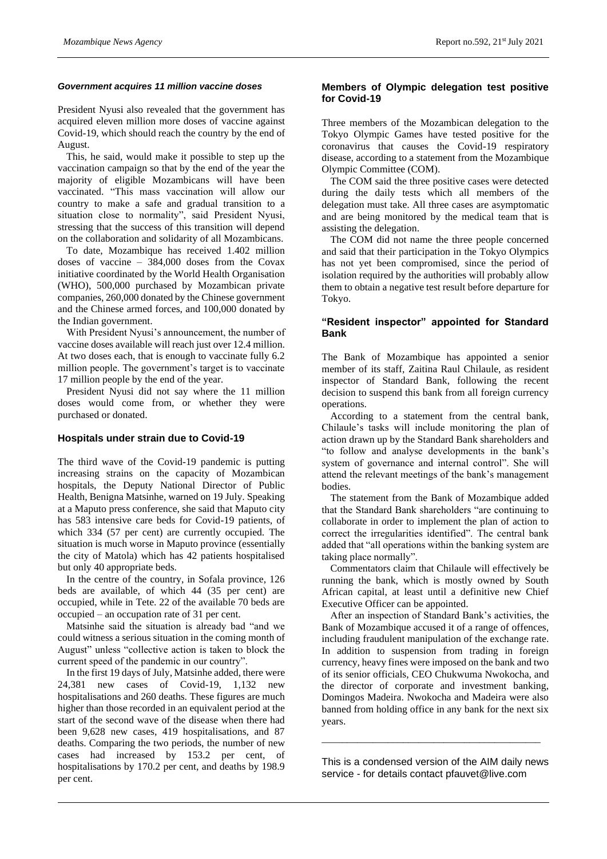#### *Government acquires 11 million vaccine doses*

President Nyusi also revealed that the government has acquired eleven million more doses of vaccine against Covid-19, which should reach the country by the end of August.

This, he said, would make it possible to step up the vaccination campaign so that by the end of the year the majority of eligible Mozambicans will have been vaccinated. "This mass vaccination will allow our country to make a safe and gradual transition to a situation close to normality", said President Nyusi, stressing that the success of this transition will depend on the collaboration and solidarity of all Mozambicans.

To date, Mozambique has received 1.402 million doses of vaccine – 384,000 doses from the Covax initiative coordinated by the World Health Organisation (WHO), 500,000 purchased by Mozambican private companies, 260,000 donated by the Chinese government and the Chinese armed forces, and 100,000 donated by the Indian government.

With President Nyusi's announcement, the number of vaccine doses available will reach just over 12.4 million. At two doses each, that is enough to vaccinate fully 6.2 million people. The government's target is to vaccinate 17 million people by the end of the year.

President Nyusi did not say where the 11 million doses would come from, or whether they were purchased or donated.

#### **Hospitals under strain due to Covid-19**

The third wave of the Covid-19 pandemic is putting increasing strains on the capacity of Mozambican hospitals, the Deputy National Director of Public Health, Benigna Matsinhe, warned on 19 July. Speaking at a Maputo press conference, she said that Maputo city has 583 intensive care beds for Covid-19 patients, of which 334 (57 per cent) are currently occupied. The situation is much worse in Maputo province (essentially the city of Matola) which has 42 patients hospitalised but only 40 appropriate beds.

In the centre of the country, in Sofala province, 126 beds are available, of which 44 (35 per cent) are occupied, while in Tete. 22 of the available 70 beds are occupied – an occupation rate of 31 per cent.

Matsinhe said the situation is already bad "and we could witness a serious situation in the coming month of August" unless "collective action is taken to block the current speed of the pandemic in our country".

In the first 19 days of July, Matsinhe added, there were 24,381 new cases of Covid-19, 1,132 new hospitalisations and 260 deaths. These figures are much higher than those recorded in an equivalent period at the start of the second wave of the disease when there had been 9,628 new cases, 419 hospitalisations, and 87 deaths. Comparing the two periods, the number of new cases had increased by 153.2 per cent, of hospitalisations by 170.2 per cent, and deaths by 198.9 per cent.

#### **Members of Olympic delegation test positive for Covid-19**

Three members of the Mozambican delegation to the Tokyo Olympic Games have tested positive for the coronavirus that causes the Covid-19 respiratory disease, according to a statement from the Mozambique Olympic Committee (COM).

The COM said the three positive cases were detected during the daily tests which all members of the delegation must take. All three cases are asymptomatic and are being monitored by the medical team that is assisting the delegation.

The COM did not name the three people concerned and said that their participation in the Tokyo Olympics has not yet been compromised, since the period of isolation required by the authorities will probably allow them to obtain a negative test result before departure for Tokyo.

### **"Resident inspector" appointed for Standard Bank**

The Bank of Mozambique has appointed a senior member of its staff, Zaitina Raul Chilaule, as resident inspector of Standard Bank, following the recent decision to suspend this bank from all foreign currency operations.

According to a statement from the central bank, Chilaule's tasks will include monitoring the plan of action drawn up by the Standard Bank shareholders and "to follow and analyse developments in the bank's system of governance and internal control". She will attend the relevant meetings of the bank's management bodies.

The statement from the Bank of Mozambique added that the Standard Bank shareholders "are continuing to collaborate in order to implement the plan of action to correct the irregularities identified". The central bank added that "all operations within the banking system are taking place normally".

Commentators claim that Chilaule will effectively be running the bank, which is mostly owned by South African capital, at least until a definitive new Chief Executive Officer can be appointed.

After an inspection of Standard Bank's activities, the Bank of Mozambique accused it of a range of offences, including fraudulent manipulation of the exchange rate. In addition to suspension from trading in foreign currency, heavy fines were imposed on the bank and two of its senior officials, CEO Chukwuma Nwokocha, and the director of corporate and investment banking, Domingos Madeira. Nwokocha and Madeira were also banned from holding office in any bank for the next six years.

This is a condensed version of the AIM daily news service - for details contact pfauvet@live.com

\_\_\_\_\_\_\_\_\_\_\_\_\_\_\_\_\_\_\_\_\_\_\_\_\_\_\_\_\_\_\_\_\_\_\_\_\_\_\_\_\_\_\_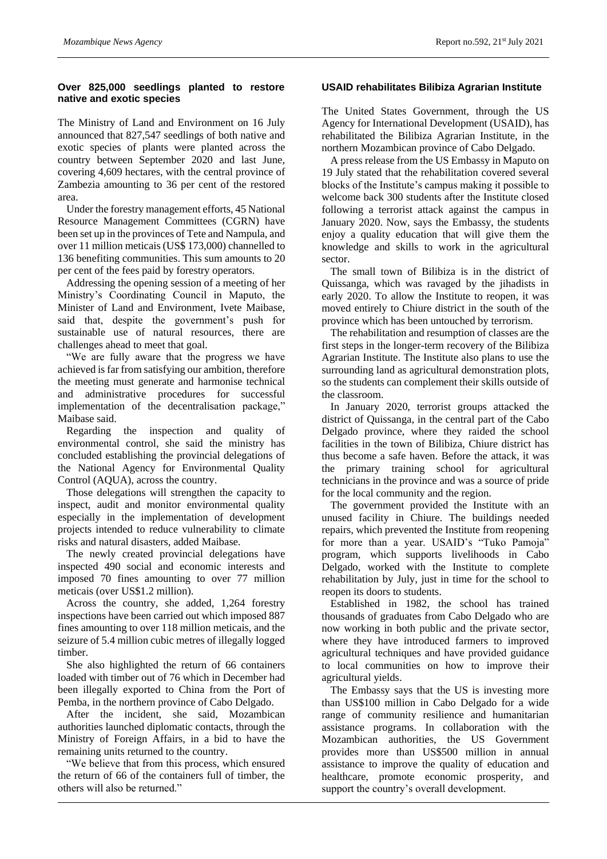## **Over 825,000 seedlings planted to restore native and exotic species**

The Ministry of Land and Environment on 16 July announced that 827,547 seedlings of both native and exotic species of plants were planted across the country between September 2020 and last June, covering 4,609 hectares, with the central province of Zambezia amounting to 36 per cent of the restored area.

Under the forestry management efforts, 45 National Resource Management Committees (CGRN) have been set up in the provinces of Tete and Nampula, and over 11 million meticais (US\$ 173,000) channelled to 136 benefiting communities. This sum amounts to 20 per cent of the fees paid by forestry operators.

Addressing the opening session of a meeting of her Ministry's Coordinating Council in Maputo, the Minister of Land and Environment, Ivete Maibase, said that, despite the government's push for sustainable use of natural resources, there are challenges ahead to meet that goal.

"We are fully aware that the progress we have achieved is far from satisfying our ambition, therefore the meeting must generate and harmonise technical and administrative procedures for successful implementation of the decentralisation package," Maibase said.

Regarding the inspection and quality of environmental control, she said the ministry has concluded establishing the provincial delegations of the National Agency for Environmental Quality Control (AQUA), across the country.

Those delegations will strengthen the capacity to inspect, audit and monitor environmental quality especially in the implementation of development projects intended to reduce vulnerability to climate risks and natural disasters, added Maibase.

The newly created provincial delegations have inspected 490 social and economic interests and imposed 70 fines amounting to over 77 million meticais (over US\$1.2 million).

Across the country, she added, 1,264 forestry inspections have been carried out which imposed 887 fines amounting to over 118 million meticais, and the seizure of 5.4 million cubic metres of illegally logged timber.

She also highlighted the return of 66 containers loaded with timber out of 76 which in December had been illegally exported to China from the Port of Pemba, in the northern province of Cabo Delgado.

After the incident, she said, Mozambican authorities launched diplomatic contacts, through the Ministry of Foreign Affairs, in a bid to have the remaining units returned to the country.

"We believe that from this process, which ensured the return of 66 of the containers full of timber, the others will also be returned."

# **USAID rehabilitates Bilibiza Agrarian Institute**

The United States Government, through the US Agency for International Development (USAID), has rehabilitated the Bilibiza Agrarian Institute, in the northern Mozambican province of Cabo Delgado.

A press release from the US Embassy in Maputo on 19 July stated that the rehabilitation covered several blocks of the Institute's campus making it possible to welcome back 300 students after the Institute closed following a terrorist attack against the campus in January 2020. Now, says the Embassy, the students enjoy a quality education that will give them the knowledge and skills to work in the agricultural sector.

The small town of Bilibiza is in the district of Quissanga, which was ravaged by the jihadists in early 2020. To allow the Institute to reopen, it was moved entirely to Chiure district in the south of the province which has been untouched by terrorism.

The rehabilitation and resumption of classes are the first steps in the longer-term recovery of the Bilibiza Agrarian Institute. The Institute also plans to use the surrounding land as agricultural demonstration plots, so the students can complement their skills outside of the classroom.

In January 2020, terrorist groups attacked the district of Quissanga, in the central part of the Cabo Delgado province, where they raided the school facilities in the town of Bilibiza, Chiure district has thus become a safe haven. Before the attack, it was the primary training school for agricultural technicians in the province and was a source of pride for the local community and the region.

The government provided the Institute with an unused facility in Chiure. The buildings needed repairs, which prevented the Institute from reopening for more than a year. USAID's "Tuko Pamoja" program, which supports livelihoods in Cabo Delgado, worked with the Institute to complete rehabilitation by July, just in time for the school to reopen its doors to students.

Established in 1982, the school has trained thousands of graduates from Cabo Delgado who are now working in both public and the private sector, where they have introduced farmers to improved agricultural techniques and have provided guidance to local communities on how to improve their agricultural yields.

The Embassy says that the US is investing more than US\$100 million in Cabo Delgado for a wide range of community resilience and humanitarian assistance programs. In collaboration with the Mozambican authorities, the US Government provides more than US\$500 million in annual assistance to improve the quality of education and healthcare, promote economic prosperity, and support the country's overall development.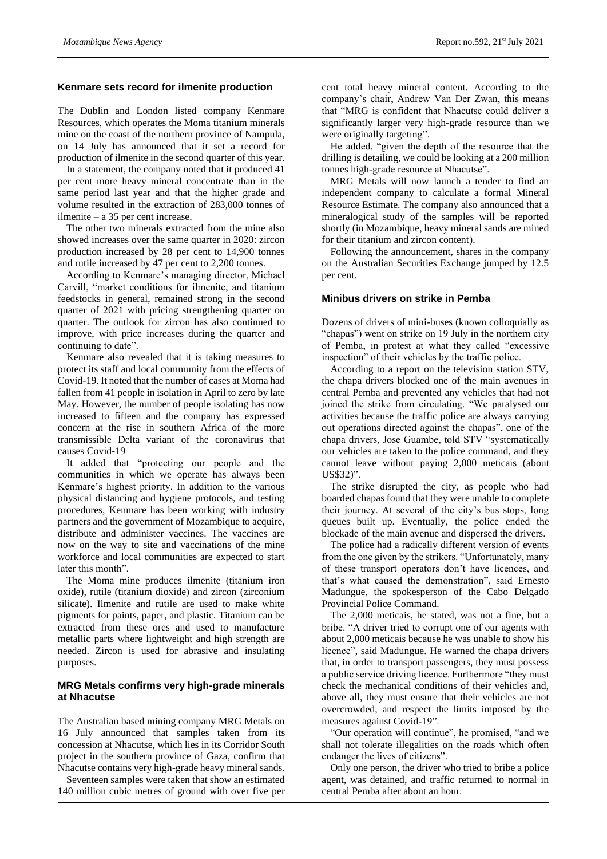#### **Kenmare sets record for ilmenite production**

The Dublin and London listed company Kenmare Resources, which operates the Moma titanium minerals mine on the coast of the northern province of Nampula, on 14 July has announced that it set a record for production of ilmenite in the second quarter of this year.

In a statement, the company noted that it produced 41 per cent more heavy mineral concentrate than in the same period last year and that the higher grade and volume resulted in the extraction of 283,000 tonnes of ilmenite – a 35 per cent increase.

The other two minerals extracted from the mine also showed increases over the same quarter in 2020: zircon production increased by 28 per cent to 14,900 tonnes and rutile increased by 47 per cent to 2,200 tonnes.

According to Kenmare's managing director, Michael Carvill, "market conditions for ilmenite, and titanium feedstocks in general, remained strong in the second quarter of 2021 with pricing strengthening quarter on quarter. The outlook for zircon has also continued to improve, with price increases during the quarter and continuing to date".

Kenmare also revealed that it is taking measures to protect its staff and local community from the effects of Covid-19. It noted that the number of cases at Moma had fallen from 41 people in isolation in April to zero by late May. However, the number of people isolating has now increased to fifteen and the company has expressed concern at the rise in southern Africa of the more transmissible Delta variant of the coronavirus that causes Covid-19

It added that "protecting our people and the communities in which we operate has always been Kenmare's highest priority. In addition to the various physical distancing and hygiene protocols, and testing procedures, Kenmare has been working with industry partners and the government of Mozambique to acquire, distribute and administer vaccines. The vaccines are now on the way to site and vaccinations of the mine workforce and local communities are expected to start later this month".

The Moma mine produces ilmenite (titanium iron oxide), rutile (titanium dioxide) and zircon (zirconium silicate). Ilmenite and rutile are used to make white pigments for paints, paper, and plastic. Titanium can be extracted from these ores and used to manufacture metallic parts where lightweight and high strength are needed. Zircon is used for abrasive and insulating purposes.

## **MRG Metals confirms very high-grade minerals at Nhacutse**

The Australian based mining company MRG Metals on 16 July announced that samples taken from its concession at Nhacutse, which lies in its Corridor South project in the southern province of Gaza, confirm that Nhacutse contains very high-grade heavy mineral sands.

Seventeen samples were taken that show an estimated 140 million cubic metres of ground with over five per

cent total heavy mineral content. According to the company's chair, Andrew Van Der Zwan, this means that "MRG is confident that Nhacutse could deliver a significantly larger very high-grade resource than we were originally targeting".

He added, "given the depth of the resource that the drilling is detailing, we could be looking at a 200 million tonnes high-grade resource at Nhacutse".

MRG Metals will now launch a tender to find an independent company to calculate a formal Mineral Resource Estimate. The company also announced that a mineralogical study of the samples will be reported shortly (in Mozambique, heavy mineral sands are mined for their titanium and zircon content).

Following the announcement, shares in the company on the Australian Securities Exchange jumped by 12.5 per cent.

## **Minibus drivers on strike in Pemba**

Dozens of drivers of mini-buses (known colloquially as "chapas") went on strike on 19 July in the northern city of Pemba, in protest at what they called "excessive inspection" of their vehicles by the traffic police.

According to a report on the television station STV, the chapa drivers blocked one of the main avenues in central Pemba and prevented any vehicles that had not joined the strike from circulating. "We paralysed our activities because the traffic police are always carrying out operations directed against the chapas", one of the chapa drivers, Jose Guambe, told STV "systematically our vehicles are taken to the police command, and they cannot leave without paying 2,000 meticais (about US\$32)".

The strike disrupted the city, as people who had boarded chapas found that they were unable to complete their journey. At several of the city's bus stops, long queues built up. Eventually, the police ended the blockade of the main avenue and dispersed the drivers.

The police had a radically different version of events from the one given by the strikers. "Unfortunately, many of these transport operators don't have licences, and that's what caused the demonstration", said Ernesto Madungue, the spokesperson of the Cabo Delgado Provincial Police Command.

The 2,000 meticais, he stated, was not a fine, but a bribe. "A driver tried to corrupt one of our agents with about 2,000 meticais because he was unable to show his licence", said Madungue. He warned the chapa drivers that, in order to transport passengers, they must possess a public service driving licence. Furthermore "they must check the mechanical conditions of their vehicles and, above all, they must ensure that their vehicles are not overcrowded, and respect the limits imposed by the measures against Covid-19".

"Our operation will continue", he promised, "and we shall not tolerate illegalities on the roads which often endanger the lives of citizens".

Only one person, the driver who tried to bribe a police agent, was detained, and traffic returned to normal in central Pemba after about an hour.